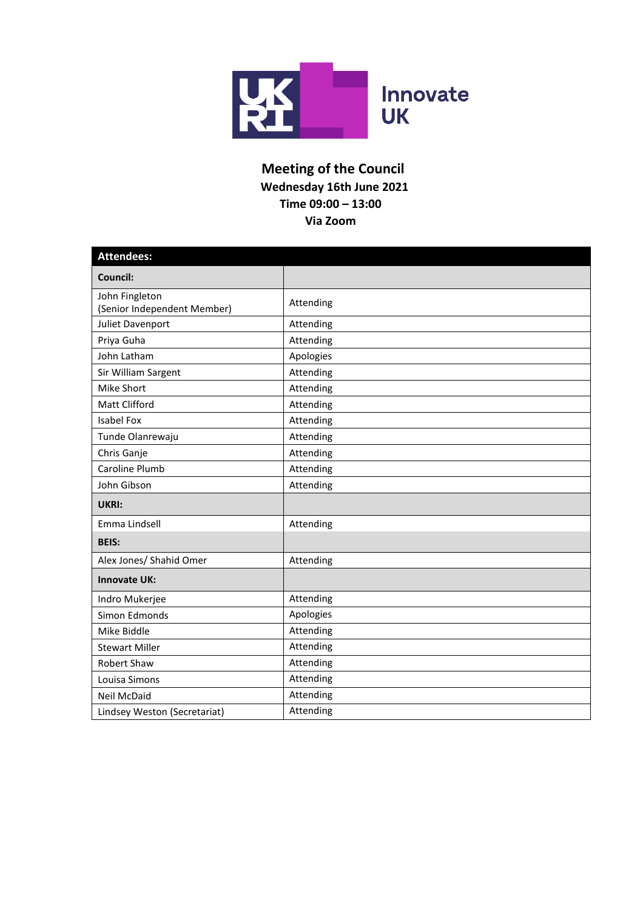

## **Meeting of the Council Wednesday 16th June 2021 Time 09:00 – 13:00 Via Zoom**

| <b>Attendees:</b>                             |           |  |  |
|-----------------------------------------------|-----------|--|--|
| Council:                                      |           |  |  |
| John Fingleton<br>(Senior Independent Member) | Attending |  |  |
| Juliet Davenport                              | Attending |  |  |
| Priya Guha                                    | Attending |  |  |
| John Latham                                   | Apologies |  |  |
| Sir William Sargent                           | Attending |  |  |
| Mike Short                                    | Attending |  |  |
| Matt Clifford                                 | Attending |  |  |
| <b>Isabel Fox</b>                             | Attending |  |  |
| Tunde Olanrewaju                              | Attending |  |  |
| Chris Ganje                                   | Attending |  |  |
| Caroline Plumb                                | Attending |  |  |
| John Gibson                                   | Attending |  |  |
| UKRI:                                         |           |  |  |
| Emma Lindsell                                 | Attending |  |  |
| <b>BEIS:</b>                                  |           |  |  |
| Alex Jones/ Shahid Omer                       | Attending |  |  |
| <b>Innovate UK:</b>                           |           |  |  |
| Indro Mukerjee                                | Attending |  |  |
| Simon Edmonds                                 | Apologies |  |  |
| Mike Biddle                                   | Attending |  |  |
| <b>Stewart Miller</b>                         | Attending |  |  |
| <b>Robert Shaw</b>                            | Attending |  |  |
| Louisa Simons                                 | Attending |  |  |
| Neil McDaid                                   | Attending |  |  |
| Lindsey Weston (Secretariat)                  | Attending |  |  |